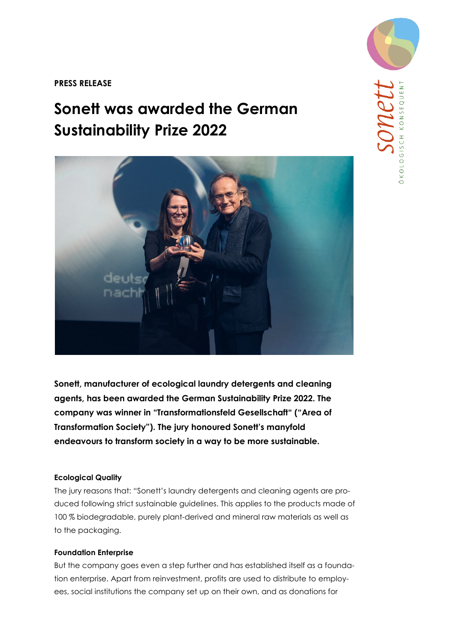**PRESS RELEASE** 

# **Sonett was awarded the German Sustainability Prize 2022**



**Sonett, manufacturer of ecological laundry detergents and cleaning agents, has been awarded the German Sustainability Prize 2022. The company was winner in "Transformationsfeld Gesellschaft" ("Area of Transformation Society"). The jury honoured Sonett's manyfold endeavours to transform society in a way to be more sustainable.** 

## **Ecological Quality**

The jury reasons that: "Sonett's laundry detergents and cleaning agents are produced following strict sustainable guidelines. This applies to the products made of 100 % biodegradable, purely plant-derived and mineral raw materials as well as to the packaging.

## **Foundation Enterprise**

But the company goes even a step further and has established itself as a foundation enterprise. Apart from reinvestment, profits are used to distribute to employees, social institutions the company set up on their own, and as donations for

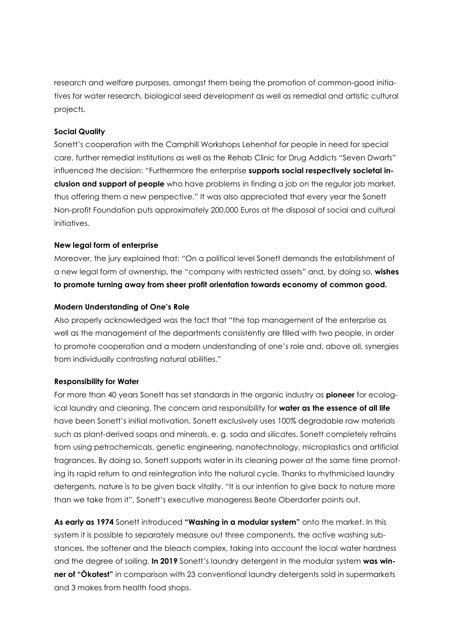research and welfare purposes, amongst them being the promotion of common-good initiatives for water research, biological seed development as well as remedial and artistic cultural projects.

## **Social Quality**

Sonett's cooperation with the Camphill Workshops Lehenhof for people in need for special care, further remedial institutions as well as the Rehab Clinic for Drug Addicts "Seven Dwarfs" influenced the decision: "Furthermore the enterprise **supports social respectively societal inclusion and support of people** who have problems in finding a job on the regular job market, thus offering them a new perspective." It was also appreciated that every year the Sonett Non-profit Foundation puts approximately 200,000 Euros at the disposal of social and cultural initiatives.

#### **New legal form of enterprise**

Moreover, the jury explained that: "On a political level Sonett demands the establishment of a new legal form of ownership, the "company with restricted assets" and, by doing so, **wishes to promote turning away from sheer profit orientation towards economy of common good.**

#### **Modern Understanding of One's Role**

Also properly acknowledged was the fact that "the top management of the enterprise as well as the management of the departments consistently are filled with two people, in order to promote cooperation and a modern understanding of one's role and, above all, synergies from individually contrasting natural abilities."

#### **Responsibility for Water**

For more than 40 years Sonett has set standards in the organic industry as **pioneer** for ecological laundry and cleaning. The concern and responsibility for **water as the essence of all life** have been Sonett's initial motivation. Sonett exclusively uses 100% degradable raw materials such as plant-derived soaps and minerals, e. g. soda and silicates. Sonett completely refrains from using petrochemicals, genetic engineering, nanotechnology, microplastics and artificial fragrances. By doing so, Sonett supports water in its cleaning power at the same time promoting its rapid return to and reintegration into the natural cycle. Thanks to rhythmicised laundry detergents, nature is to be given back vitality. "It is our intention to give back to nature more than we take from it", Sonett's executive manageress Beate Oberdorfer points out.

**As early as 1974** Sonett introduced **"Washing in a modular system"** onto the market. In this system it is possible to separately measure out three components, the active washing substances, the softener and the bleach complex, taking into account the local water hardness and the degree of soiling. **In 2019** Sonett's laundry detergent in the modular system **was winner of "Ökotest"** in comparison with 23 conventional laundry detergents sold in supermarkets and 3 makes from health food shops.